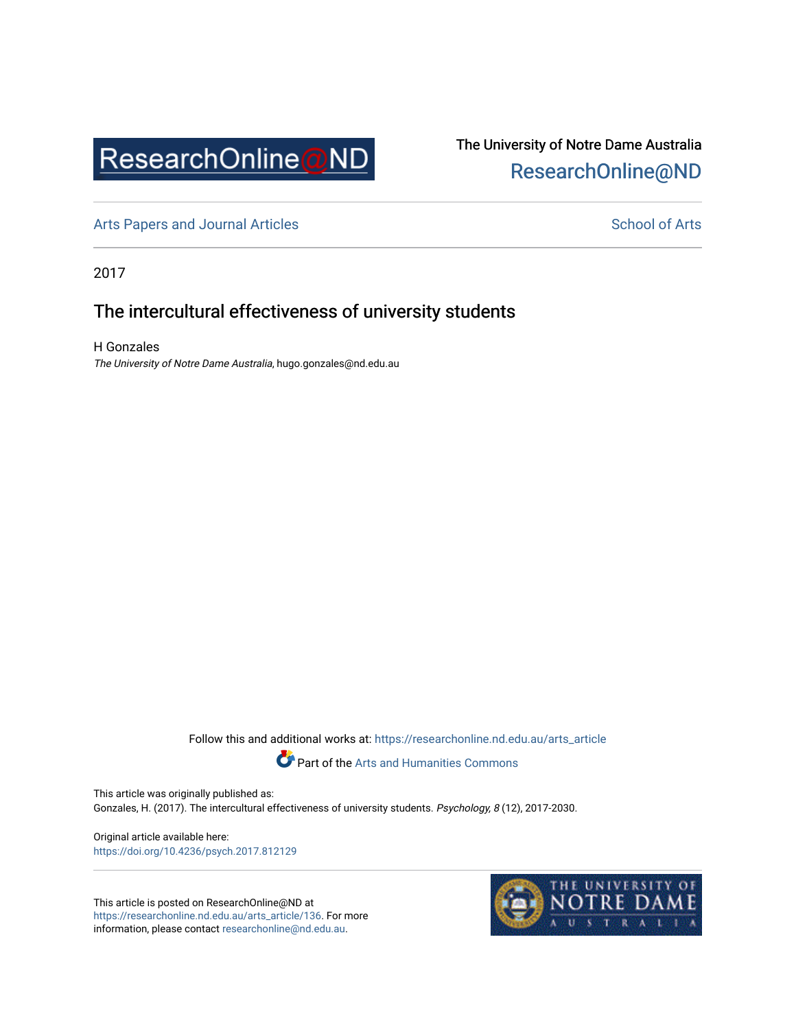

# The University of Notre Dame Australia [ResearchOnline@ND](https://researchonline.nd.edu.au/)

[Arts Papers and Journal Articles](https://researchonline.nd.edu.au/arts_article) and [School of Arts](https://researchonline.nd.edu.au/arts) School of Arts

2017

# The intercultural effectiveness of university students

H Gonzales The University of Notre Dame Australia, hugo.gonzales@nd.edu.au

Follow this and additional works at: [https://researchonline.nd.edu.au/arts\\_article](https://researchonline.nd.edu.au/arts_article?utm_source=researchonline.nd.edu.au%2Farts_article%2F136&utm_medium=PDF&utm_campaign=PDFCoverPages) 



Part of the [Arts and Humanities Commons](http://network.bepress.com/hgg/discipline/438?utm_source=researchonline.nd.edu.au%2Farts_article%2F136&utm_medium=PDF&utm_campaign=PDFCoverPages) 

This article was originally published as: Gonzales, H. (2017). The intercultural effectiveness of university students. Psychology, 8 (12), 2017-2030.

Original article available here: <https://doi.org/10.4236/psych.2017.812129>

This article is posted on ResearchOnline@ND at [https://researchonline.nd.edu.au/arts\\_article/136](https://researchonline.nd.edu.au/arts_article/136). For more information, please contact [researchonline@nd.edu.au.](mailto:researchonline@nd.edu.au)

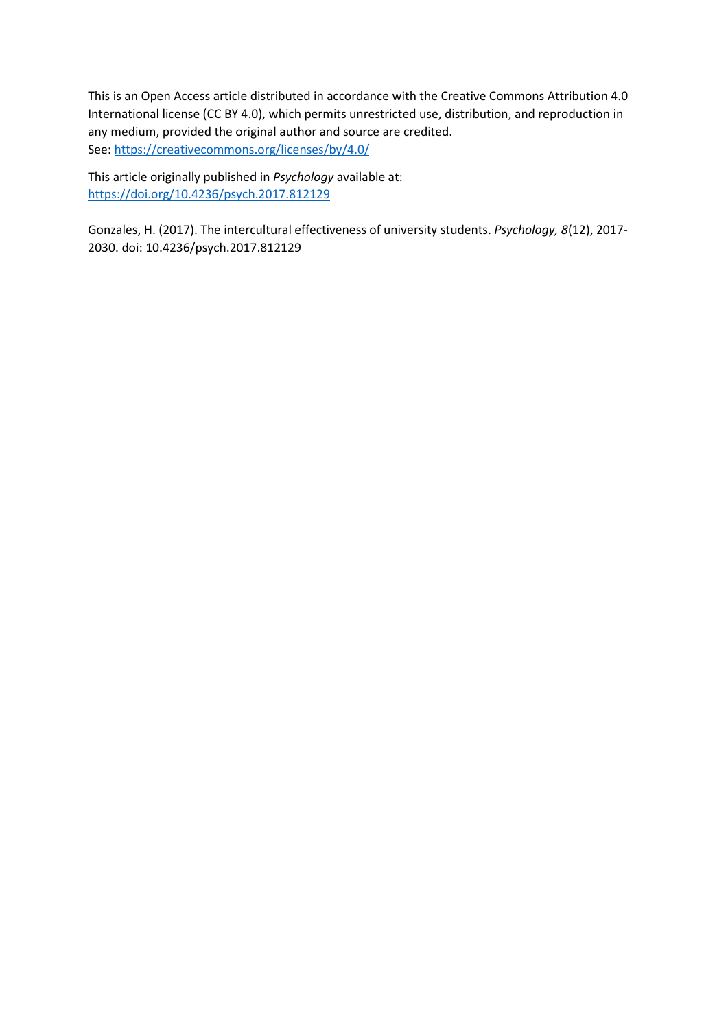This is an Open Access article distributed in accordance with the Creative Commons Attribution 4.0 International license (CC BY 4.0), which permits unrestricted use, distribution, and reproduction in any medium, provided the original author and source are credited. See[: https://creativecommons.org/licenses/by/4.0/](https://creativecommons.org/licenses/by/4.0/) 

This article originally published in *Psychology* available at: <https://doi.org/10.4236/psych.2017.812129>

Gonzales, H. (2017). The intercultural effectiveness of university students. *Psychology, 8*(12), 2017- 2030. doi: 10.4236/psych.2017.812129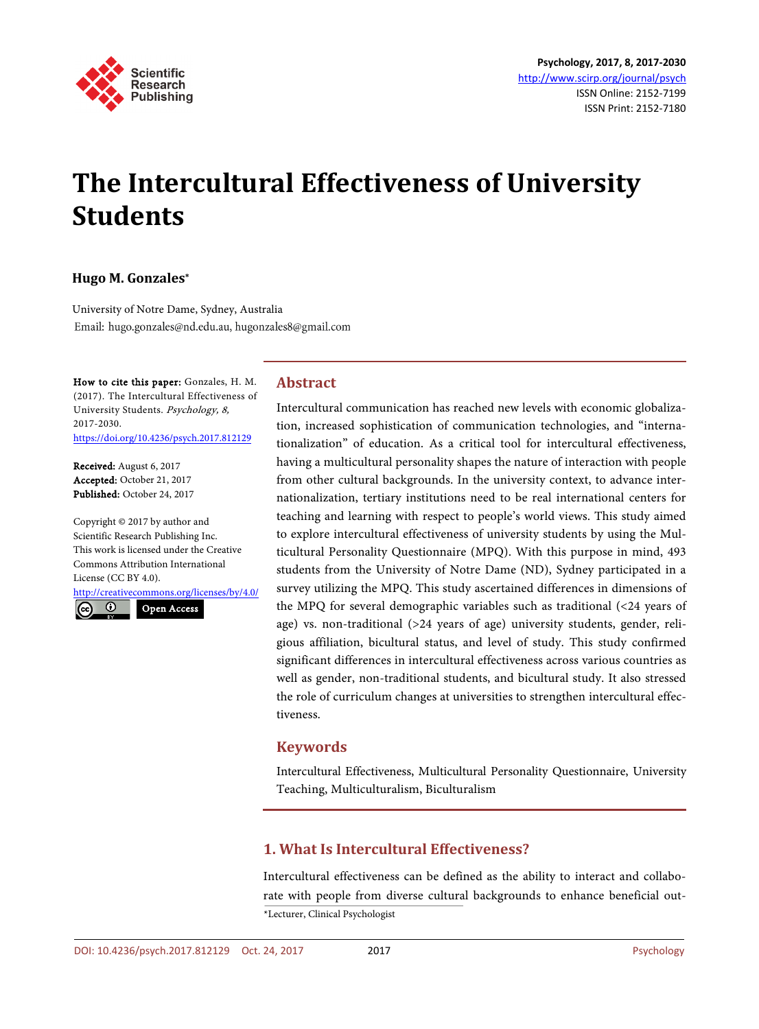

# **The Intercultural Effectiveness of University Students**

## **Hugo M. Gonzales\***

University of Notre Dame, Sydney, Australia Email: hugo.gonzales@nd.edu.au, hugonzales8@gmail.com

How to cite this paper: Gonzales, H. M. (2017). The Intercultural Effectiveness of University Students. Psychology, 8, 2017-2030. <https://doi.org/10.4236/psych.2017.812129>

Received: August 6, 2017 Accepted: October 21, 2017 Published: October 24, 2017

Copyright © 2017 by author and Scientific Research Publishing Inc. This work is licensed under the Creative Commons Attribution International License (CC BY 4.0).

<http://creativecommons.org/licenses/by/4.0/>

 $\odot$ Open Access

# **Abstract**

Intercultural communication has reached new levels with economic globalization, increased sophistication of communication technologies, and "internationalization" of education. As a critical tool for intercultural effectiveness, having a multicultural personality shapes the nature of interaction with people from other cultural backgrounds. In the university context, to advance internationalization, tertiary institutions need to be real international centers for teaching and learning with respect to people's world views. This study aimed to explore intercultural effectiveness of university students by using the Multicultural Personality Questionnaire (MPQ). With this purpose in mind, 493 students from the University of Notre Dame (ND), Sydney participated in a survey utilizing the MPQ. This study ascertained differences in dimensions of the MPQ for several demographic variables such as traditional (<24 years of age) vs. non-traditional (>24 years of age) university students, gender, religious affiliation, bicultural status, and level of study. This study confirmed significant differences in intercultural effectiveness across various countries as well as gender, non-traditional students, and bicultural study. It also stressed the role of curriculum changes at universities to strengthen intercultural effectiveness.

# **Keywords**

Intercultural Effectiveness, Multicultural Personality Questionnaire, University Teaching, Multiculturalism, Biculturalism

# **1. What Is Intercultural Effectiveness?**

Intercultural effectiveness can be defined as the ability to interact and collaborate with people from diverse cultural backgrounds to enhance beneficial out- \*Lecturer, Clinical Psychologist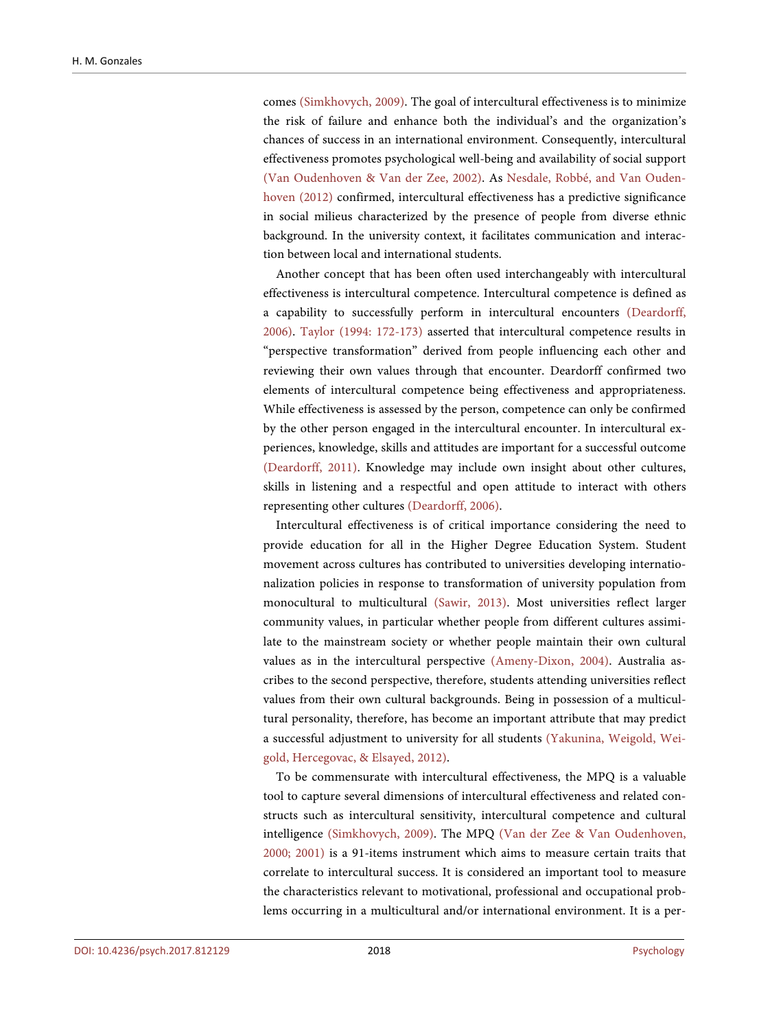comes [\(Simkhovych, 2009\)](#page-15-0). The goal of intercultural effectiveness is to minimize the risk of failure and enhance both the individual's and the organization's chances of success in an international environment. Consequently, intercultural effectiveness promotes psychological well-being and availability of social support [\(Van Oudenhoven & Van der Zee, 2002\)](#page-15-1). As [Nesdale, Robbé, and Van Ouden](#page-15-2)[hoven \(2012\)](#page-15-2) confirmed, intercultural effectiveness has a predictive significance in social milieus characterized by the presence of people from diverse ethnic background. In the university context, it facilitates communication and interaction between local and international students.

Another concept that has been often used interchangeably with intercultural effectiveness is intercultural competence. Intercultural competence is defined as a capability to successfully perform in intercultural encounters [\(Deardorff,](#page-14-0)  [2006\)](#page-14-0). [Taylor \(1994:](#page-15-3) 172-173) asserted that intercultural competence results in "perspective transformation" derived from people influencing each other and reviewing their own values through that encounter. Deardorff confirmed two elements of intercultural competence being effectiveness and appropriateness. While effectiveness is assessed by the person, competence can only be confirmed by the other person engaged in the intercultural encounter. In intercultural experiences, knowledge, skills and attitudes are important for a successful outcome [\(Deardorff, 2011\)](#page-14-1). Knowledge may include own insight about other cultures, skills in listening and a respectful and open attitude to interact with others representing other cultures [\(Deardorff, 2006\)](#page-14-0).

Intercultural effectiveness is of critical importance considering the need to provide education for all in the Higher Degree Education System. Student movement across cultures has contributed to universities developing internationalization policies in response to transformation of university population from monocultural to multicultural [\(Sawir, 2013\)](#page-15-4). Most universities reflect larger community values, in particular whether people from different cultures assimilate to the mainstream society or whether people maintain their own cultural values as in the intercultural perspective [\(Ameny-Dixon, 2004\)](#page-13-0). Australia ascribes to the second perspective, therefore, students attending universities reflect values from their own cultural backgrounds. Being in possession of a multicultural personality, therefore, has become an important attribute that may predict a successful adjustment to university for all students [\(Yakunina, Weigold, Wei](#page-15-5)[gold, Hercegovac, & Elsayed, 2012\)](#page-15-5).

To be commensurate with intercultural effectiveness, the MPQ is a valuable tool to capture several dimensions of intercultural effectiveness and related constructs such as intercultural sensitivity, intercultural competence and cultural intelligence [\(Simkhovych, 2009\)](#page-15-0). The MPQ [\(Van der Zee & Van Oudenhoven,](#page-15-6)  [2000;](#page-15-6) [2001\)](#page-15-7) is a 91-items instrument which aims to measure certain traits that correlate to intercultural success. It is considered an important tool to measure the characteristics relevant to motivational, professional and occupational problems occurring in a multicultural and/or international environment. It is a per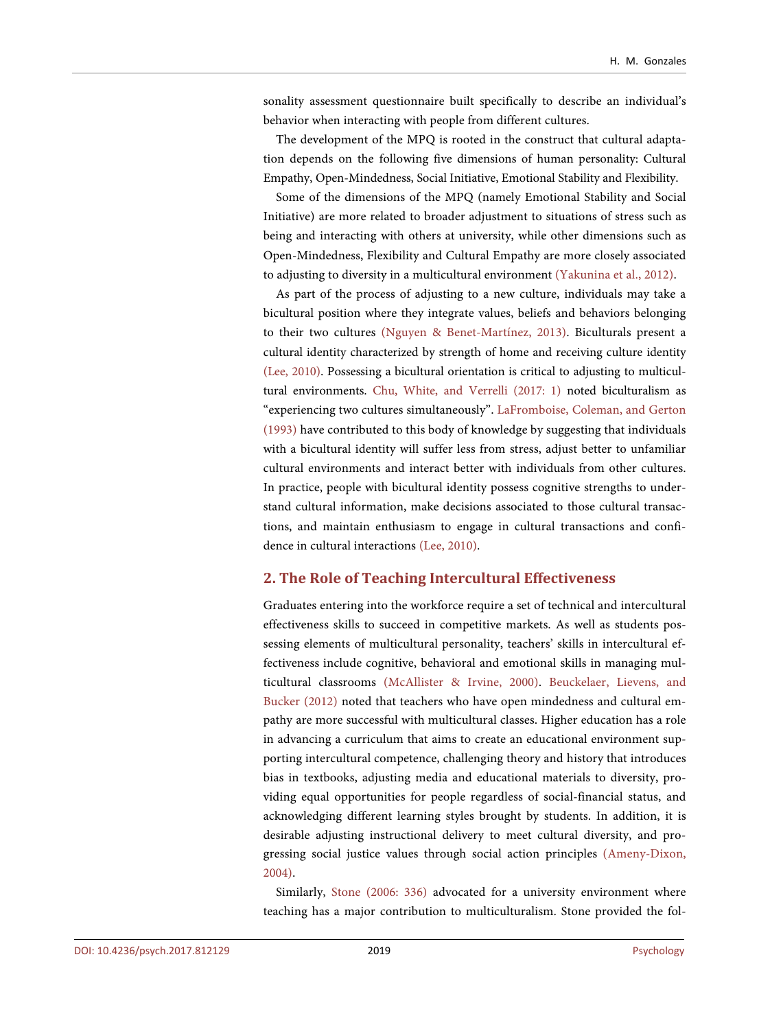sonality assessment questionnaire built specifically to describe an individual's behavior when interacting with people from different cultures.

The development of the MPQ is rooted in the construct that cultural adaptation depends on the following five dimensions of human personality: Cultural Empathy, Open-Mindedness, Social Initiative, Emotional Stability and Flexibility.

Some of the dimensions of the MPQ (namely Emotional Stability and Social Initiative) are more related to broader adjustment to situations of stress such as being and interacting with others at university, while other dimensions such as Open-Mindedness, Flexibility and Cultural Empathy are more closely associated to adjusting to diversity in a multicultural environment [\(Yakunina et al., 2012\)](#page-15-5).

As part of the process of adjusting to a new culture, individuals may take a bicultural position where they integrate values, beliefs and behaviors belonging to their two cultures [\(Nguyen & Benet-Martínez, 2013\)](#page-15-8). Biculturals present a cultural identity characterized by strength of home and receiving culture identity [\(Lee, 2010\)](#page-14-2). Possessing a bicultural orientation is critical to adjusting to multicultural environments. [Chu, White, and Verrelli \(2017: 1\)](#page-14-3) noted biculturalism as "experiencing two cultures simultaneously". [LaFromboise, Coleman, and Gerton](#page-14-4)  [\(1993\)](#page-14-4) have contributed to this body of knowledge by suggesting that individuals with a bicultural identity will suffer less from stress, adjust better to unfamiliar cultural environments and interact better with individuals from other cultures. In practice, people with bicultural identity possess cognitive strengths to understand cultural information, make decisions associated to those cultural transactions, and maintain enthusiasm to engage in cultural transactions and confidence in cultural interactions [\(Lee, 2010\)](#page-14-2).

#### **2. The Role of Teaching Intercultural Effectiveness**

Graduates entering into the workforce require a set of technical and intercultural effectiveness skills to succeed in competitive markets. As well as students possessing elements of multicultural personality, teachers' skills in intercultural effectiveness include cognitive, behavioral and emotional skills in managing multicultural classrooms [\(McAllister & Irvine, 2000\)](#page-14-5). [Beuckelaer, Lievens, and](#page-13-1)  [Bucker \(2012\)](#page-13-1) noted that teachers who have open mindedness and cultural empathy are more successful with multicultural classes. Higher education has a role in advancing a curriculum that aims to create an educational environment supporting intercultural competence, challenging theory and history that introduces bias in textbooks, adjusting media and educational materials to diversity, providing equal opportunities for people regardless of social-financial status, and acknowledging different learning styles brought by students. In addition, it is desirable adjusting instructional delivery to meet cultural diversity, and progressing social justice values through social action principles [\(Ameny-Dixon,](#page-13-0)  [2004\)](#page-13-0).

Similarly, [Stone \(2006:](#page-15-9) 336) advocated for a university environment where teaching has a major contribution to multiculturalism. Stone provided the fol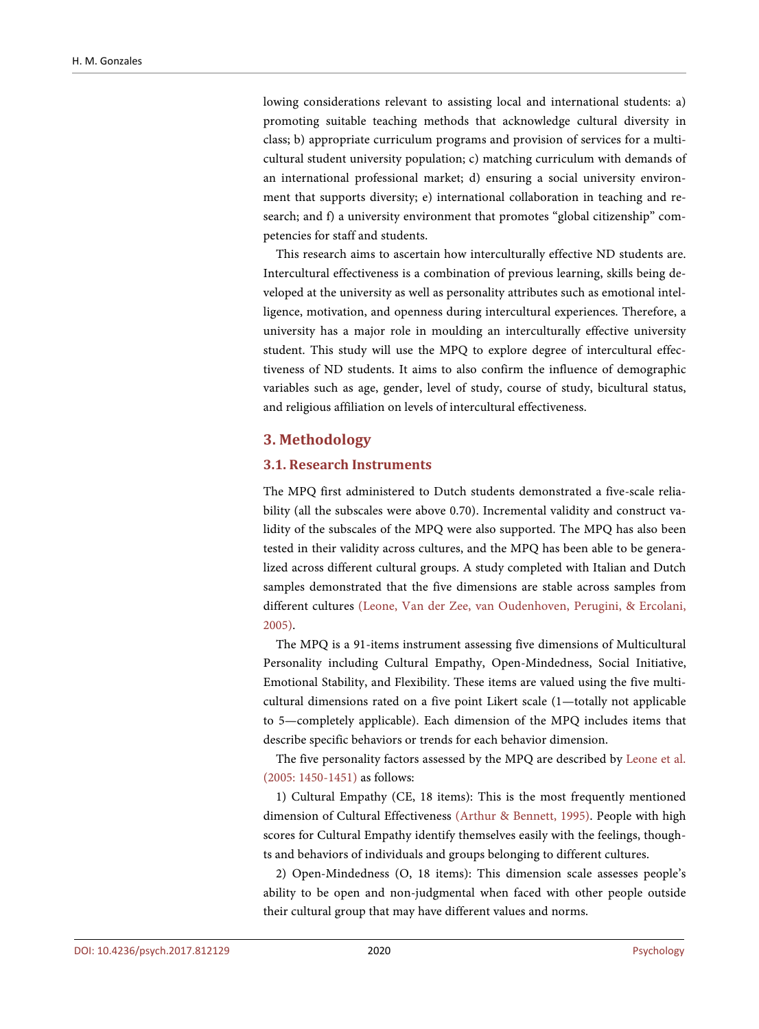lowing considerations relevant to assisting local and international students: a) promoting suitable teaching methods that acknowledge cultural diversity in class; b) appropriate curriculum programs and provision of services for a multicultural student university population; c) matching curriculum with demands of an international professional market; d) ensuring a social university environment that supports diversity; e) international collaboration in teaching and research; and f) a university environment that promotes "global citizenship" competencies for staff and students.

This research aims to ascertain how interculturally effective ND students are. Intercultural effectiveness is a combination of previous learning, skills being developed at the university as well as personality attributes such as emotional intelligence, motivation, and openness during intercultural experiences. Therefore, a university has a major role in moulding an interculturally effective university student. This study will use the MPQ to explore degree of intercultural effectiveness of ND students. It aims to also confirm the influence of demographic variables such as age, gender, level of study, course of study, bicultural status, and religious affiliation on levels of intercultural effectiveness.

#### **3. Methodology**

#### **3.1. Research Instruments**

The MPQ first administered to Dutch students demonstrated a five-scale reliability (all the subscales were above 0.70). Incremental validity and construct validity of the subscales of the MPQ were also supported. The MPQ has also been tested in their validity across cultures, and the MPQ has been able to be generalized across different cultural groups. A study completed with Italian and Dutch samples demonstrated that the five dimensions are stable across samples from different cultures [\(Leone, Van der Zee, van Oudenhoven, Perugini, & Ercolani,](#page-14-6)  [2005\)](#page-14-6).

The MPQ is a 91-items instrument assessing five dimensions of Multicultural Personality including Cultural Empathy, Open-Mindedness, Social Initiative, Emotional Stability, and Flexibility. These items are valued using the five multicultural dimensions rated on a five point Likert scale (1—totally not applicable to 5—completely applicable). Each dimension of the MPQ includes items that describe specific behaviors or trends for each behavior dimension.

The five personality factors assessed by the MPQ are described by [Leone et al.](#page-14-6)  (2005: [1450-1451\)](#page-14-6) as follows:

1) Cultural Empathy (CE, 18 items): This is the most frequently mentioned dimension of Cultural Effectiveness [\(Arthur & Bennett, 1995\)](#page-13-2). People with high scores for Cultural Empathy identify themselves easily with the feelings, thoughts and behaviors of individuals and groups belonging to different cultures.

2) Open-Mindedness (O, 18 items): This dimension scale assesses people's ability to be open and non-judgmental when faced with other people outside their cultural group that may have different values and norms.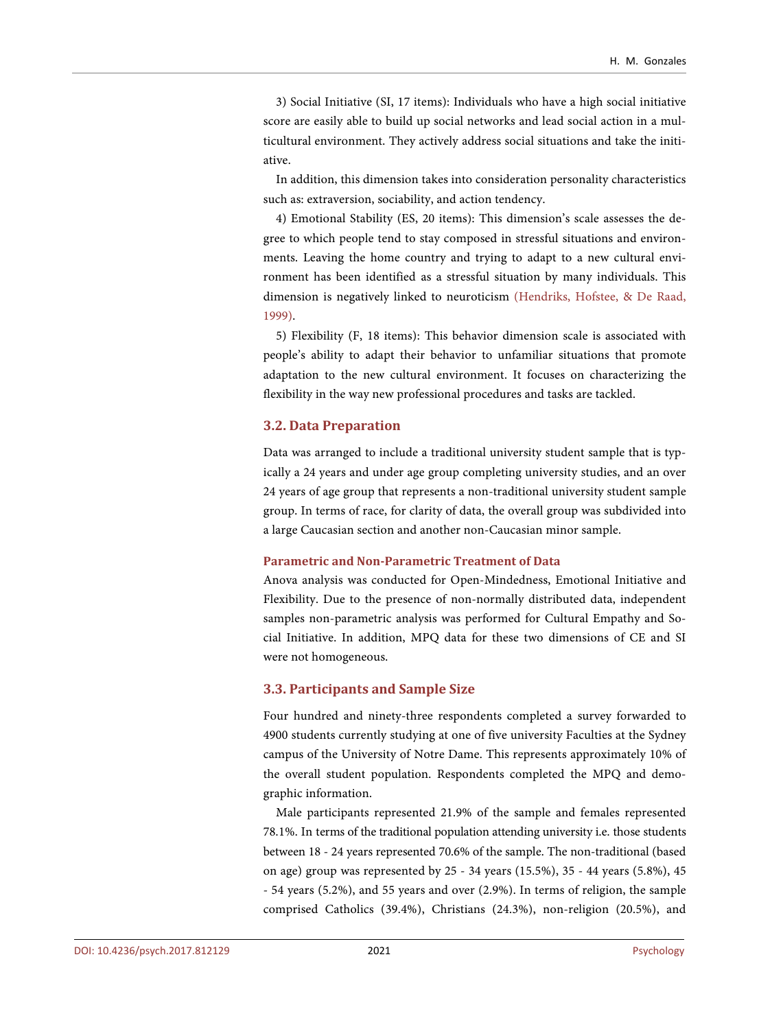3) Social Initiative (SI, 17 items): Individuals who have a high social initiative score are easily able to build up social networks and lead social action in a multicultural environment. They actively address social situations and take the initiative.

In addition, this dimension takes into consideration personality characteristics such as: extraversion, sociability, and action tendency.

4) Emotional Stability (ES, 20 items): This dimension's scale assesses the degree to which people tend to stay composed in stressful situations and environments. Leaving the home country and trying to adapt to a new cultural environment has been identified as a stressful situation by many individuals. This dimension is negatively linked to neuroticism [\(Hendriks, Hofstee, & De Raad,](#page-14-7)  [1999\)](#page-14-7).

5) Flexibility (F, 18 items): This behavior dimension scale is associated with people's ability to adapt their behavior to unfamiliar situations that promote adaptation to the new cultural environment. It focuses on characterizing the flexibility in the way new professional procedures and tasks are tackled.

#### **3.2. Data Preparation**

Data was arranged to include a traditional university student sample that is typically a 24 years and under age group completing university studies, and an over 24 years of age group that represents a non-traditional university student sample group. In terms of race, for clarity of data, the overall group was subdivided into a large Caucasian section and another non-Caucasian minor sample.

#### **Parametric and Non-Parametric Treatment of Data**

Anova analysis was conducted for Open-Mindedness, Emotional Initiative and Flexibility. Due to the presence of non-normally distributed data, independent samples non-parametric analysis was performed for Cultural Empathy and Social Initiative. In addition, MPQ data for these two dimensions of CE and SI were not homogeneous.

#### **3.3. Participants and Sample Size**

Four hundred and ninety-three respondents completed a survey forwarded to 4900 students currently studying at one of five university Faculties at the Sydney campus of the University of Notre Dame. This represents approximately 10% of the overall student population. Respondents completed the MPQ and demographic information.

Male participants represented 21.9% of the sample and females represented 78.1%. In terms of the traditional population attending university i.e. those students between 18 - 24 years represented 70.6% of the sample. The non-traditional (based on age) group was represented by 25 - 34 years (15.5%), 35 - 44 years (5.8%), 45 - 54 years (5.2%), and 55 years and over (2.9%). In terms of religion, the sample comprised Catholics (39.4%), Christians (24.3%), non-religion (20.5%), and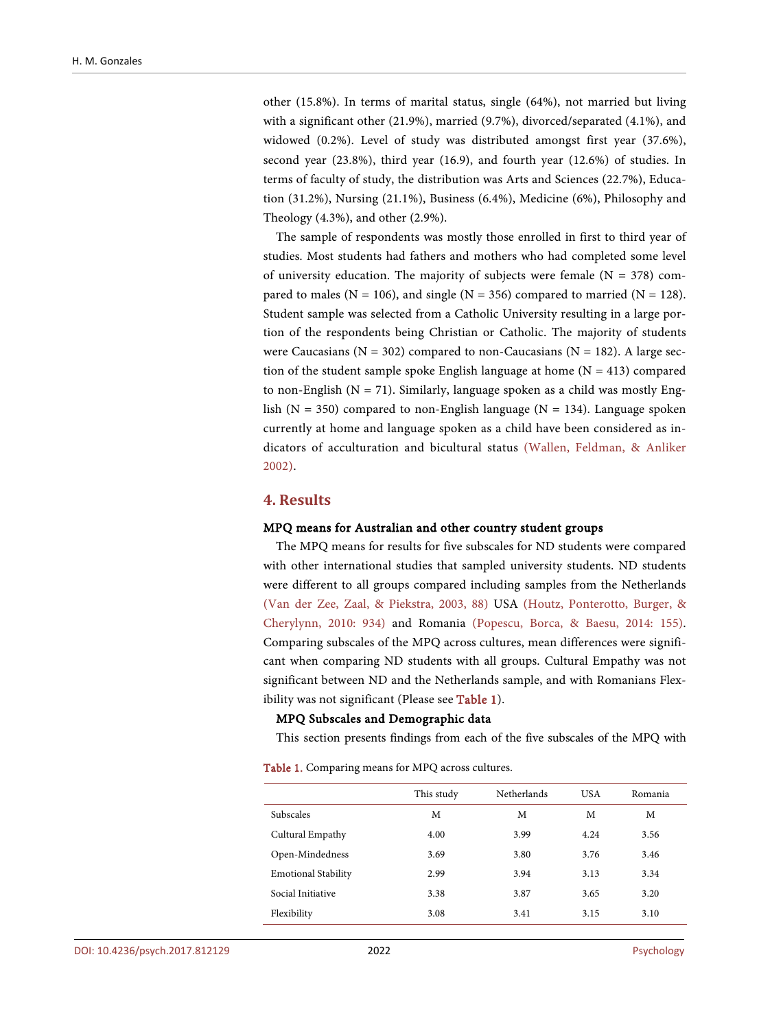other (15.8%). In terms of marital status, single (64%), not married but living with a significant other (21.9%), married (9.7%), divorced/separated (4.1%), and widowed (0.2%). Level of study was distributed amongst first year (37.6%), second year (23.8%), third year (16.9), and fourth year (12.6%) of studies. In terms of faculty of study, the distribution was Arts and Sciences (22.7%), Education (31.2%), Nursing (21.1%), Business (6.4%), Medicine (6%), Philosophy and Theology (4.3%), and other (2.9%).

The sample of respondents was mostly those enrolled in first to third year of studies. Most students had fathers and mothers who had completed some level of university education. The majority of subjects were female  $(N = 378)$  compared to males ( $N = 106$ ), and single ( $N = 356$ ) compared to married ( $N = 128$ ). Student sample was selected from a Catholic University resulting in a large portion of the respondents being Christian or Catholic. The majority of students were Caucasians ( $N = 302$ ) compared to non-Caucasians ( $N = 182$ ). A large section of the student sample spoke English language at home  $(N = 413)$  compared to non-English  $(N = 71)$ . Similarly, language spoken as a child was mostly English ( $N = 350$ ) compared to non-English language ( $N = 134$ ). Language spoken currently at home and language spoken as a child have been considered as indicators of acculturation and bicultural status [\(Wallen, Feldman, & Anliker](#page-15-10)  [2002\)](#page-15-10).

### **4. Results**

#### MPQ means for Australian and other country student groups

The MPQ means for results for five subscales for ND students were compared with other international studies that sampled university students. ND students were different to all groups compared including samples from the Netherlands (Van [der Zee, Zaal, & Piekstra, 2003, 88\)](#page-15-11) USA [\(Houtz, Ponterotto, Burger, &](#page-14-8)  [Cherylynn, 2010:](#page-14-8) 934) and Romania [\(Popescu, Borca, & Baesu, 2014:](#page-15-12) 155). Comparing subscales of the MPQ across cultures, mean differences were significant when comparing ND students with all groups. Cultural Empathy was not significant between ND and the Netherlands sample, and with Romanians Flexibility was not significant (Please see [Table 1\)](#page-7-0).

#### MPQ Subscales and Demographic data

This section presents findings from each of the five subscales of the MPQ with

<span id="page-7-0"></span>Table 1. Comparing means for MPQ across cultures.

|                            | This study | <b>Netherlands</b> | <b>USA</b> | Romania |
|----------------------------|------------|--------------------|------------|---------|
| <b>Subscales</b>           | М          | М                  | M          | М       |
| Cultural Empathy           | 4.00       | 3.99               | 4.24       | 3.56    |
| Open-Mindedness            | 3.69       | 3.80               | 3.76       | 3.46    |
| <b>Emotional Stability</b> | 2.99       | 3.94               | 3.13       | 3.34    |
| Social Initiative          | 3.38       | 3.87               | 3.65       | 3.20    |
| Flexibility                | 3.08       | 3.41               | 3.15       | 3.10    |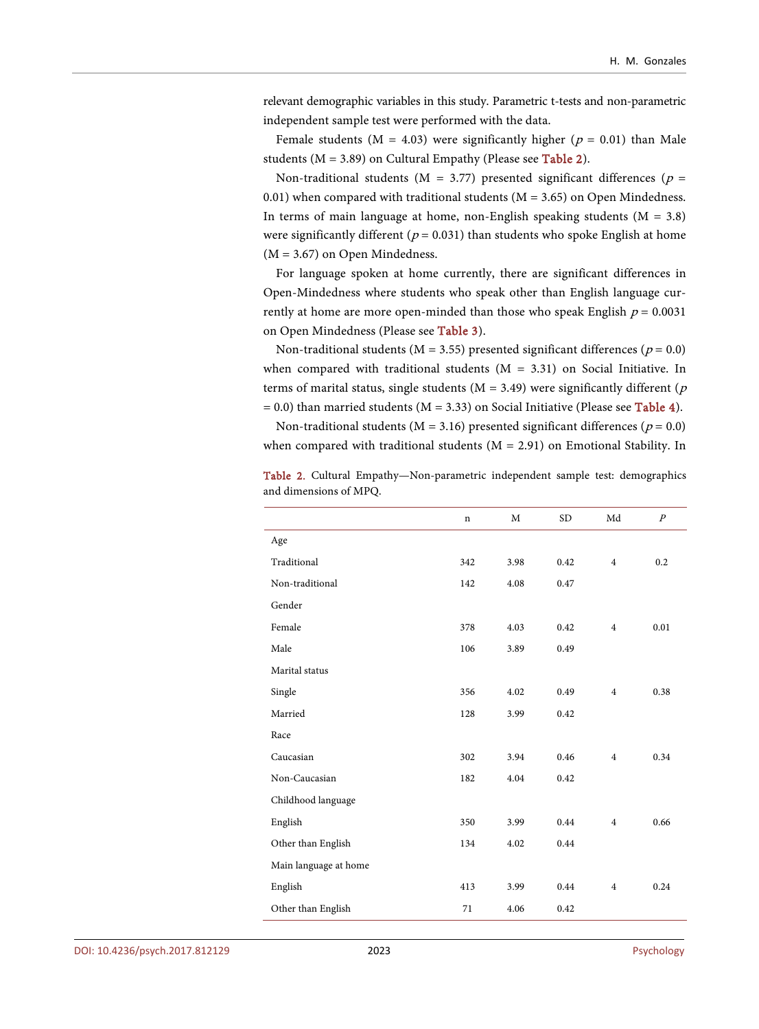relevant demographic variables in this study. Parametric t-tests and non-parametric independent sample test were performed with the data.

Female students ( $M = 4.03$ ) were significantly higher ( $p = 0.01$ ) than Male students ( $M = 3.89$ ) on Cultural Empathy (Please see [Table 2\)](#page-8-0).

Non-traditional students ( $M = 3.77$ ) presented significant differences ( $p =$ 0.01) when compared with traditional students ( $M = 3.65$ ) on Open Mindedness. In terms of main language at home, non-English speaking students  $(M = 3.8)$ were significantly different ( $p = 0.031$ ) than students who spoke English at home (M = 3.67) on Open Mindedness.

For language spoken at home currently, there are significant differences in Open-Mindedness where students who speak other than English language currently at home are more open-minded than those who speak English  $p = 0.0031$ on Open Mindedness (Please see [Table 3\)](#page-9-0).

Non-traditional students ( $M = 3.55$ ) presented significant differences ( $p = 0.0$ ) when compared with traditional students  $(M = 3.31)$  on Social Initiative. In terms of marital status, single students ( $M = 3.49$ ) were significantly different ( $p$  $= 0.0$ ) than married students (M = 3.33) on Social Initiative (Please see [Table 4\)](#page-9-1).

Non-traditional students ( $M = 3.16$ ) presented significant differences ( $p = 0.0$ ) when compared with traditional students  $(M = 2.91)$  on Emotional Stability. In

|                       | $\mathbf n$ | M    | <b>SD</b> | Md             | $\overline{P}$ |
|-----------------------|-------------|------|-----------|----------------|----------------|
| Age                   |             |      |           |                |                |
| Traditional           | 342         | 3.98 | 0.42      | $\overline{4}$ | 0.2            |
| Non-traditional       | 142         | 4.08 | 0.47      |                |                |
| Gender                |             |      |           |                |                |
| Female                | 378         | 4.03 | 0.42      | $\overline{4}$ | 0.01           |
| Male                  | 106         | 3.89 | 0.49      |                |                |
| Marital status        |             |      |           |                |                |
| Single                | 356         | 4.02 | 0.49      | $\overline{4}$ | 0.38           |
| Married               | 128         | 3.99 | 0.42      |                |                |
| Race                  |             |      |           |                |                |
| Caucasian             | 302         | 3.94 | 0.46      | $\overline{4}$ | 0.34           |
| Non-Caucasian         | 182         | 4.04 | 0.42      |                |                |
| Childhood language    |             |      |           |                |                |
| English               | 350         | 3.99 | 0.44      | $\overline{4}$ | 0.66           |
| Other than English    | 134         | 4.02 | 0.44      |                |                |
| Main language at home |             |      |           |                |                |
| English               | 413         | 3.99 | 0.44      | $\overline{4}$ | 0.24           |
| Other than English    | 71          | 4.06 | 0.42      |                |                |

<span id="page-8-0"></span>Table 2. Cultural Empathy—Non-parametric independent sample test: demographics and dimensions of MPQ.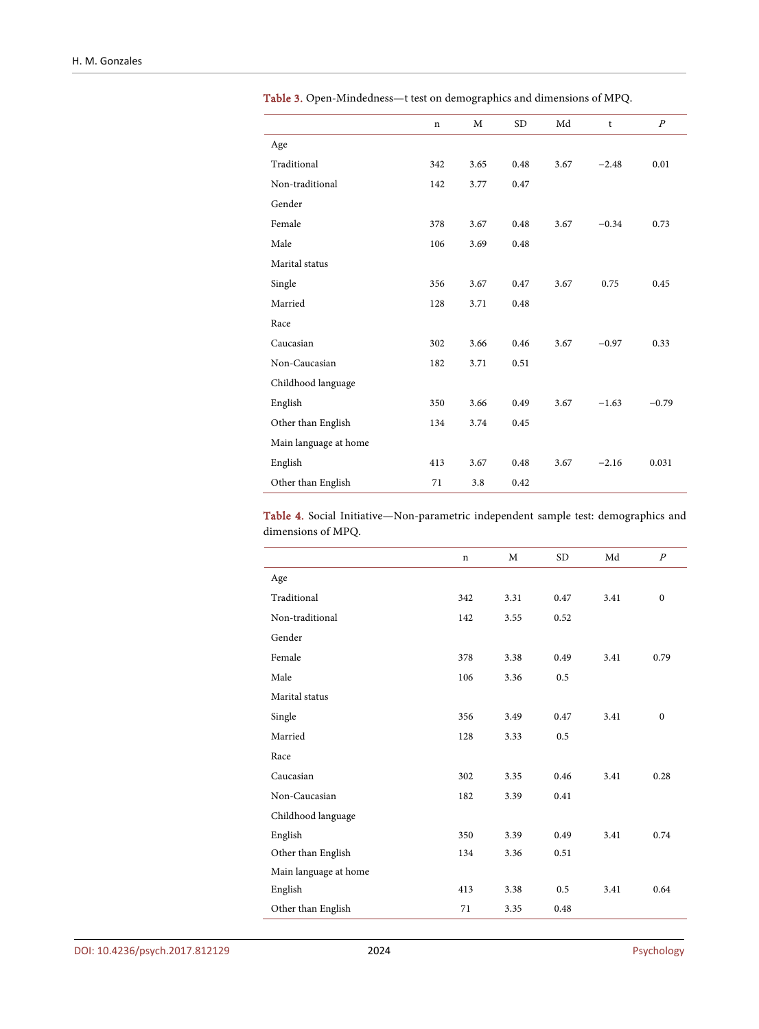|                       | n   | M    | <b>SD</b> | Md   | t       | $\overline{P}$ |
|-----------------------|-----|------|-----------|------|---------|----------------|
| Age                   |     |      |           |      |         |                |
| Traditional           | 342 | 3.65 | 0.48      | 3.67 | $-2.48$ | 0.01           |
| Non-traditional       | 142 | 3.77 | 0.47      |      |         |                |
| Gender                |     |      |           |      |         |                |
| Female                | 378 | 3.67 | 0.48      | 3.67 | $-0.34$ | 0.73           |
| Male                  | 106 | 3.69 | 0.48      |      |         |                |
| Marital status        |     |      |           |      |         |                |
| Single                | 356 | 3.67 | 0.47      | 3.67 | 0.75    | 0.45           |
| Married               | 128 | 3.71 | 0.48      |      |         |                |
| Race                  |     |      |           |      |         |                |
| Caucasian             | 302 | 3.66 | 0.46      | 3.67 | $-0.97$ | 0.33           |
| Non-Caucasian         | 182 | 3.71 | 0.51      |      |         |                |
| Childhood language    |     |      |           |      |         |                |
| English               | 350 | 3.66 | 0.49      | 3.67 | $-1.63$ | $-0.79$        |
| Other than English    | 134 | 3.74 | 0.45      |      |         |                |
| Main language at home |     |      |           |      |         |                |
| English               | 413 | 3.67 | 0.48      | 3.67 | $-2.16$ | 0.031          |
| Other than English    | 71  | 3.8  | 0.42      |      |         |                |

<span id="page-9-0"></span>Table 3. Open-Mindedness—t test on demographics and dimensions of MPQ.

<span id="page-9-1"></span>Table 4. Social Initiative—Non-parametric independent sample test: demographics and dimensions of MPQ.

|                       | n   | M    | <b>SD</b> | Md   | $\boldsymbol{P}$ |
|-----------------------|-----|------|-----------|------|------------------|
| Age                   |     |      |           |      |                  |
| Traditional           | 342 | 3.31 | 0.47      | 3.41 | $\mathbf{0}$     |
| Non-traditional       | 142 | 3.55 | 0.52      |      |                  |
| Gender                |     |      |           |      |                  |
| Female                | 378 | 3.38 | 0.49      | 3.41 | 0.79             |
| Male                  | 106 | 3.36 | 0.5       |      |                  |
| Marital status        |     |      |           |      |                  |
| Single                | 356 | 3.49 | 0.47      | 3.41 | $\mathbf{0}$     |
| Married               | 128 | 3.33 | 0.5       |      |                  |
| Race                  |     |      |           |      |                  |
| Caucasian             | 302 | 3.35 | 0.46      | 3.41 | 0.28             |
| Non-Caucasian         | 182 | 3.39 | 0.41      |      |                  |
| Childhood language    |     |      |           |      |                  |
| English               | 350 | 3.39 | 0.49      | 3.41 | 0.74             |
| Other than English    | 134 | 3.36 | 0.51      |      |                  |
| Main language at home |     |      |           |      |                  |
| English               | 413 | 3.38 | 0.5       | 3.41 | 0.64             |
| Other than English    | 71  | 3.35 | 0.48      |      |                  |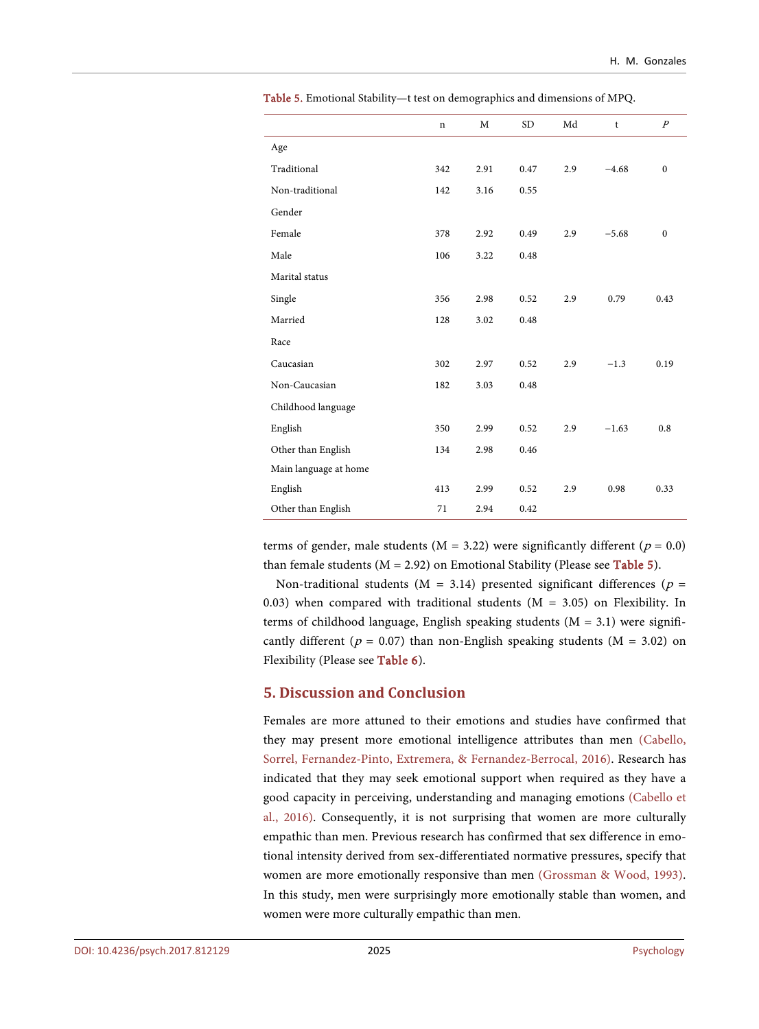|                       | $\mathbf n$ | M    | <b>SD</b> | Md  | t       | $\boldsymbol{P}$ |
|-----------------------|-------------|------|-----------|-----|---------|------------------|
| Age                   |             |      |           |     |         |                  |
| Traditional           | 342         | 2.91 | 0.47      | 2.9 | $-4.68$ | $\mathbf{0}$     |
| Non-traditional       | 142         | 3.16 | 0.55      |     |         |                  |
| Gender                |             |      |           |     |         |                  |
| Female                | 378         | 2.92 | 0.49      | 2.9 | $-5.68$ | $\mathbf{0}$     |
| Male                  | 106         | 3.22 | 0.48      |     |         |                  |
| Marital status        |             |      |           |     |         |                  |
| Single                | 356         | 2.98 | 0.52      | 2.9 | 0.79    | 0.43             |
| Married               | 128         | 3.02 | 0.48      |     |         |                  |
| Race                  |             |      |           |     |         |                  |
| Caucasian             | 302         | 2.97 | 0.52      | 2.9 | $-1.3$  | 0.19             |
| Non-Caucasian         | 182         | 3.03 | 0.48      |     |         |                  |
| Childhood language    |             |      |           |     |         |                  |
| English               | 350         | 2.99 | 0.52      | 2.9 | $-1.63$ | 0.8              |
| Other than English    | 134         | 2.98 | 0.46      |     |         |                  |
| Main language at home |             |      |           |     |         |                  |
| English               | 413         | 2.99 | 0.52      | 2.9 | 0.98    | 0.33             |
| Other than English    | 71          | 2.94 | 0.42      |     |         |                  |

<span id="page-10-0"></span>Table 5. Emotional Stability—t test on demographics and dimensions of MPQ.

terms of gender, male students ( $M = 3.22$ ) were significantly different ( $p = 0.0$ ) than female students ( $M = 2.92$ ) on Emotional Stability (Please see [Table 5\)](#page-10-0).

Non-traditional students ( $M = 3.14$ ) presented significant differences ( $p =$ 0.03) when compared with traditional students ( $M = 3.05$ ) on Flexibility. In terms of childhood language, English speaking students ( $M = 3.1$ ) were significantly different ( $p = 0.07$ ) than non-English speaking students ( $M = 3.02$ ) on Flexibility (Please see [Table 6\)](#page-11-0).

## **5. Discussion and Conclusion**

Females are more attuned to their emotions and studies have confirmed that they may present more emotional intelligence attributes than men [\(Cabello,](#page-13-3)  [Sorrel, Fernandez-Pinto, Extremera, & Fernandez-Berrocal, 2016\)](#page-13-3). Research has indicated that they may seek emotional support when required as they have a good capacity in perceiving, understanding and managing emotions [\(Cabello et](#page-13-3)  [al., 2016\)](#page-13-3). Consequently, it is not surprising that women are more culturally empathic than men. Previous research has confirmed that sex difference in emotional intensity derived from sex-differentiated normative pressures, specify that women are more emotionally responsive than men [\(Grossman & Wood, 1993\)](#page-14-9). In this study, men were surprisingly more emotionally stable than women, and women were more culturally empathic than men.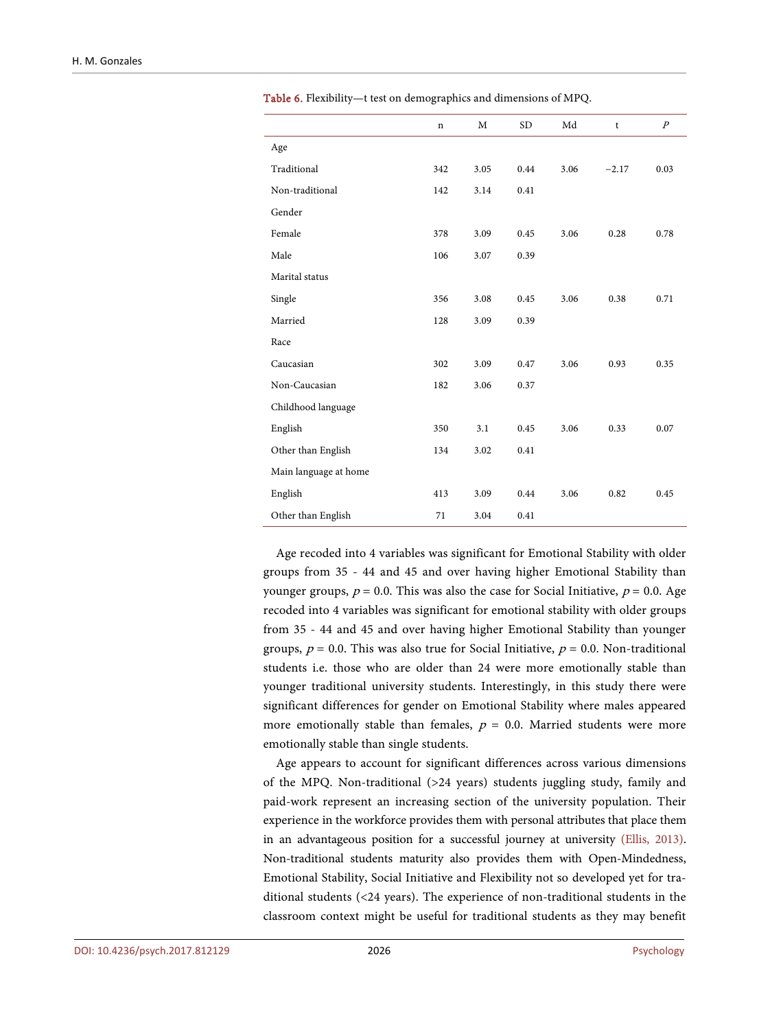|                       | $\mathbf n$ | M    | <b>SD</b> | Md   | t       | $\overline{P}$ |
|-----------------------|-------------|------|-----------|------|---------|----------------|
| Age                   |             |      |           |      |         |                |
| Traditional           | 342         | 3.05 | 0.44      | 3.06 | $-2.17$ | 0.03           |
| Non-traditional       | 142         | 3.14 | 0.41      |      |         |                |
| Gender                |             |      |           |      |         |                |
| Female                | 378         | 3.09 | 0.45      | 3.06 | 0.28    | 0.78           |
| Male                  | 106         | 3.07 | 0.39      |      |         |                |
| Marital status        |             |      |           |      |         |                |
| Single                | 356         | 3.08 | 0.45      | 3.06 | 0.38    | 0.71           |
| Married               | 128         | 3.09 | 0.39      |      |         |                |
| Race                  |             |      |           |      |         |                |
| Caucasian             | 302         | 3.09 | 0.47      | 3.06 | 0.93    | 0.35           |
| Non-Caucasian         | 182         | 3.06 | 0.37      |      |         |                |
| Childhood language    |             |      |           |      |         |                |
| English               | 350         | 3.1  | 0.45      | 3.06 | 0.33    | 0.07           |
| Other than English    | 134         | 3.02 | 0.41      |      |         |                |
| Main language at home |             |      |           |      |         |                |
| English               | 413         | 3.09 | 0.44      | 3.06 | 0.82    | 0.45           |
| Other than English    | 71          | 3.04 | 0.41      |      |         |                |

<span id="page-11-0"></span>Table 6. Flexibility—t test on demographics and dimensions of MPQ.

Age recoded into 4 variables was significant for Emotional Stability with older groups from 35 - 44 and 45 and over having higher Emotional Stability than younger groups,  $p = 0.0$ . This was also the case for Social Initiative,  $p = 0.0$ . Age recoded into 4 variables was significant for emotional stability with older groups from 35 - 44 and 45 and over having higher Emotional Stability than younger groups,  $p = 0.0$ . This was also true for Social Initiative,  $p = 0.0$ . Non-traditional students i.e. those who are older than 24 were more emotionally stable than younger traditional university students. Interestingly, in this study there were significant differences for gender on Emotional Stability where males appeared more emotionally stable than females,  $p = 0.0$ . Married students were more emotionally stable than single students.

Age appears to account for significant differences across various dimensions of the MPQ. Non-traditional (>24 years) students juggling study, family and paid-work represent an increasing section of the university population. Their experience in the workforce provides them with personal attributes that place them in an advantageous position for a successful journey at university [\(Ellis, 2013\)](#page-14-10). Non-traditional students maturity also provides them with Open-Mindedness, Emotional Stability, Social Initiative and Flexibility not so developed yet for traditional students (<24 years). The experience of non-traditional students in the classroom context might be useful for traditional students as they may benefit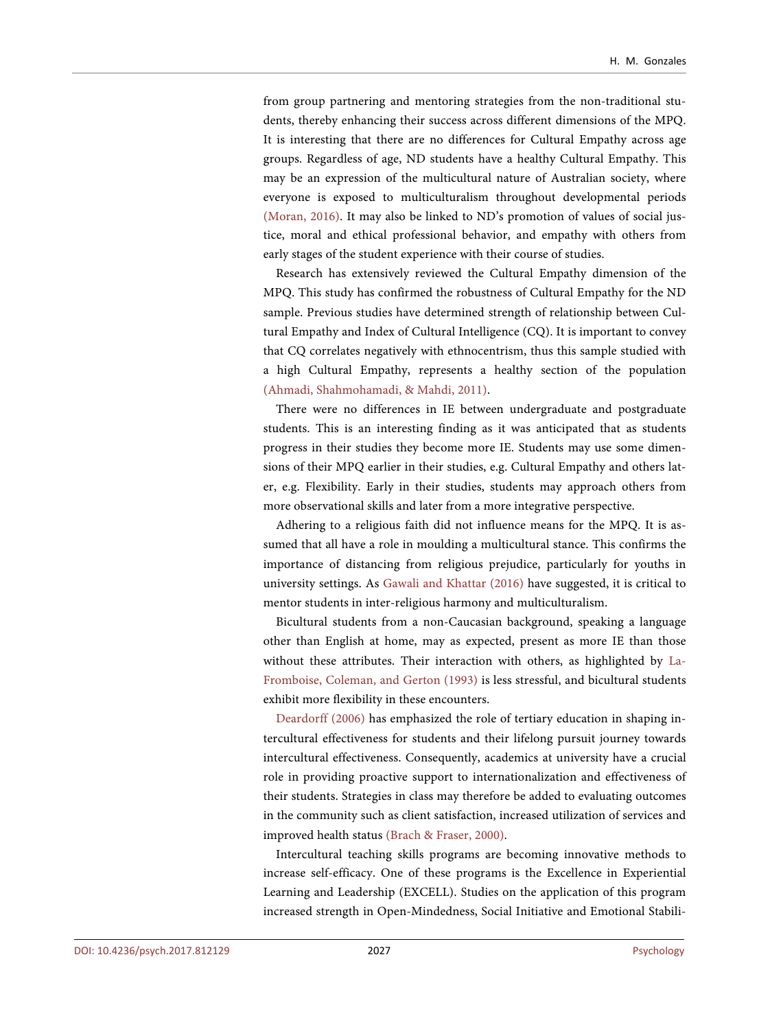from group partnering and mentoring strategies from the non-traditional students, thereby enhancing their success across different dimensions of the MPQ. It is interesting that there are no differences for Cultural Empathy across age groups. Regardless of age, ND students have a healthy Cultural Empathy. This may be an expression of the multicultural nature of Australian society, where everyone is exposed to multiculturalism throughout developmental periods [\(Moran, 2016\)](#page-14-11). It may also be linked to ND's promotion of values of social justice, moral and ethical professional behavior, and empathy with others from early stages of the student experience with their course of studies.

Research has extensively reviewed the Cultural Empathy dimension of the MPQ. This study has confirmed the robustness of Cultural Empathy for the ND sample. Previous studies have determined strength of relationship between Cultural Empathy and Index of Cultural Intelligence (CQ). It is important to convey that CQ correlates negatively with ethnocentrism, thus this sample studied with a high Cultural Empathy, represents a healthy section of the population [\(Ahmadi, Shahmohamadi, & Mahdi, 2011\)](#page-13-4).

There were no differences in IE between undergraduate and postgraduate students. This is an interesting finding as it was anticipated that as students progress in their studies they become more IE. Students may use some dimensions of their MPQ earlier in their studies, e.g. Cultural Empathy and others later, e.g. Flexibility. Early in their studies, students may approach others from more observational skills and later from a more integrative perspective.

Adhering to a religious faith did not influence means for the MPQ. It is assumed that all have a role in moulding a multicultural stance. This confirms the importance of distancing from religious prejudice, particularly for youths in university settings. As [Gawali and Khattar \(2016\)](#page-14-12) have suggested, it is critical to mentor students in inter-religious harmony and multiculturalism.

Bicultural students from a non-Caucasian background, speaking a language other than English at home, may as expected, present as more IE than those without these attributes. Their interaction with others, as highlighted by [La-](#page-14-4)[Fromboise, Coleman, and Gerton \(1993\)](#page-14-4) is less stressful, and bicultural students exhibit more flexibility in these encounters.

[Deardorff \(2006\)](#page-14-0) has emphasized the role of tertiary education in shaping intercultural effectiveness for students and their lifelong pursuit journey towards intercultural effectiveness. Consequently, academics at university have a crucial role in providing proactive support to internationalization and effectiveness of their students. Strategies in class may therefore be added to evaluating outcomes in the community such as client satisfaction, increased utilization of services and improved health status [\(Brach & Fraser, 2000\)](#page-13-5).

Intercultural teaching skills programs are becoming innovative methods to increase self-efficacy. One of these programs is the Excellence in Experiential Learning and Leadership (EXCELL). Studies on the application of this program increased strength in Open-Mindedness, Social Initiative and Emotional Stabili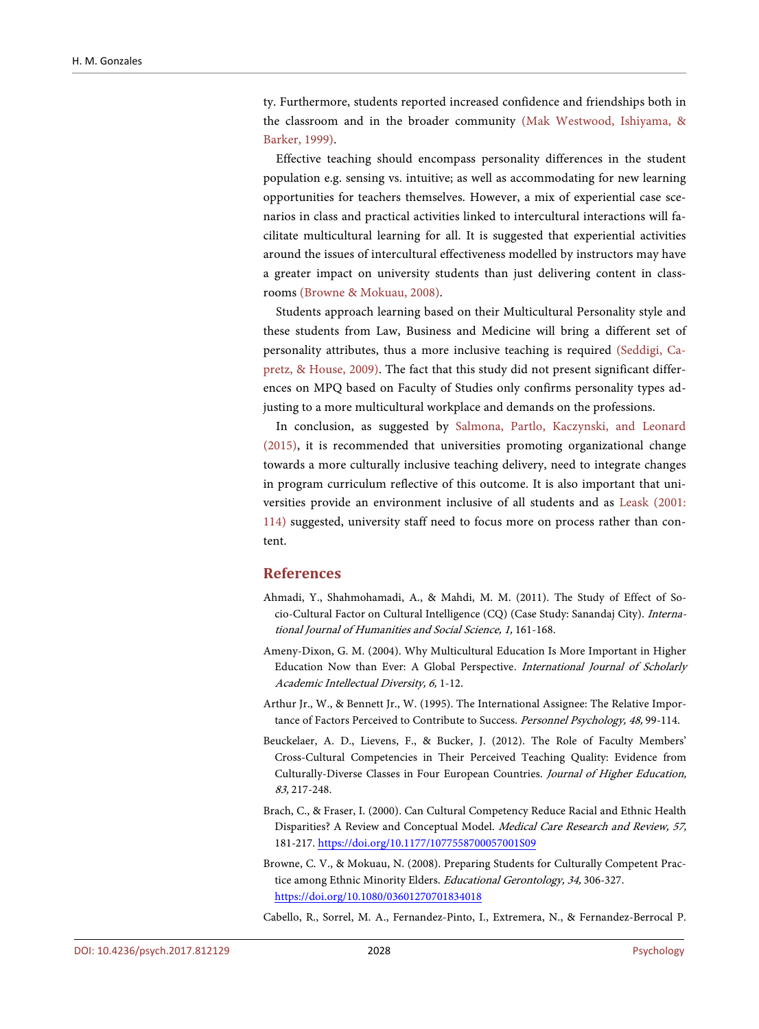ty. Furthermore, students reported increased confidence and friendships both in the classroom and in the broader community [\(Mak Westwood, Ishiyama, &](#page-14-13)  [Barker, 1999\)](#page-14-13).

Effective teaching should encompass personality differences in the student population e.g. sensing vs. intuitive; as well as accommodating for new learning opportunities for teachers themselves. However, a mix of experiential case scenarios in class and practical activities linked to intercultural interactions will facilitate multicultural learning for all. It is suggested that experiential activities around the issues of intercultural effectiveness modelled by instructors may have a greater impact on university students than just delivering content in classrooms [\(Browne & Mokuau, 2008\)](#page-13-6).

Students approach learning based on their Multicultural Personality style and these students from Law, Business and Medicine will bring a different set of personality attributes, thus a more inclusive teaching is required [\(Seddigi, Ca](#page-15-13)[pretz, & House, 2009\)](#page-15-13). The fact that this study did not present significant differences on MPQ based on Faculty of Studies only confirms personality types adjusting to a more multicultural workplace and demands on the professions.

In conclusion, as suggested by [Salmona, Partlo, Kaczynski, and Leonard](#page-15-14)  [\(2015\),](#page-15-14) it is recommended that universities promoting organizational change towards a more culturally inclusive teaching delivery, need to integrate changes in program curriculum reflective of this outcome. It is also important that universities provide an environment inclusive of all students and as [Leask \(2001:](#page-14-14) [114\)](#page-14-14) suggested, university staff need to focus more on process rather than content.

### **References**

- <span id="page-13-4"></span>Ahmadi, Y., Shahmohamadi, A., & Mahdi, M. M. (2011). The Study of Effect of Socio-Cultural Factor on Cultural Intelligence (CQ) (Case Study: Sanandaj City). International Journal of Humanities and Social Science, 1, 161-168.
- <span id="page-13-0"></span>Ameny-Dixon, G. M. (2004). Why Multicultural Education Is More Important in Higher Education Now than Ever: A Global Perspective. International Journal of Scholarly Academic Intellectual Diversity, 6, 1-12.
- <span id="page-13-2"></span>Arthur Jr., W., & Bennett Jr., W. (1995). The International Assignee: The Relative Importance of Factors Perceived to Contribute to Success. Personnel Psychology, 48, 99-114.
- <span id="page-13-1"></span>Beuckelaer, A. D., Lievens, F., & Bucker, J. (2012). The Role of Faculty Members' Cross-Cultural Competencies in Their Perceived Teaching Quality: Evidence from Culturally-Diverse Classes in Four European Countries. Journal of Higher Education, 83, 217-248.
- <span id="page-13-5"></span>Brach, C., & Fraser, I. (2000). Can Cultural Competency Reduce Racial and Ethnic Health Disparities? A Review and Conceptual Model. Medical Care Research and Review, 57, 181-217[. https://doi.org/10.1177/1077558700057001S09](https://doi.org/10.1177/1077558700057001S09)
- <span id="page-13-6"></span>Browne, C. V., & Mokuau, N. (2008). Preparing Students for Culturally Competent Practice among Ethnic Minority Elders. Educational Gerontology, 34, 306-327. <https://doi.org/10.1080/03601270701834018>

<span id="page-13-3"></span>Cabello, R., Sorrel, M. A., Fernandez-Pinto, I., Extremera, N., & Fernandez-Berrocal P.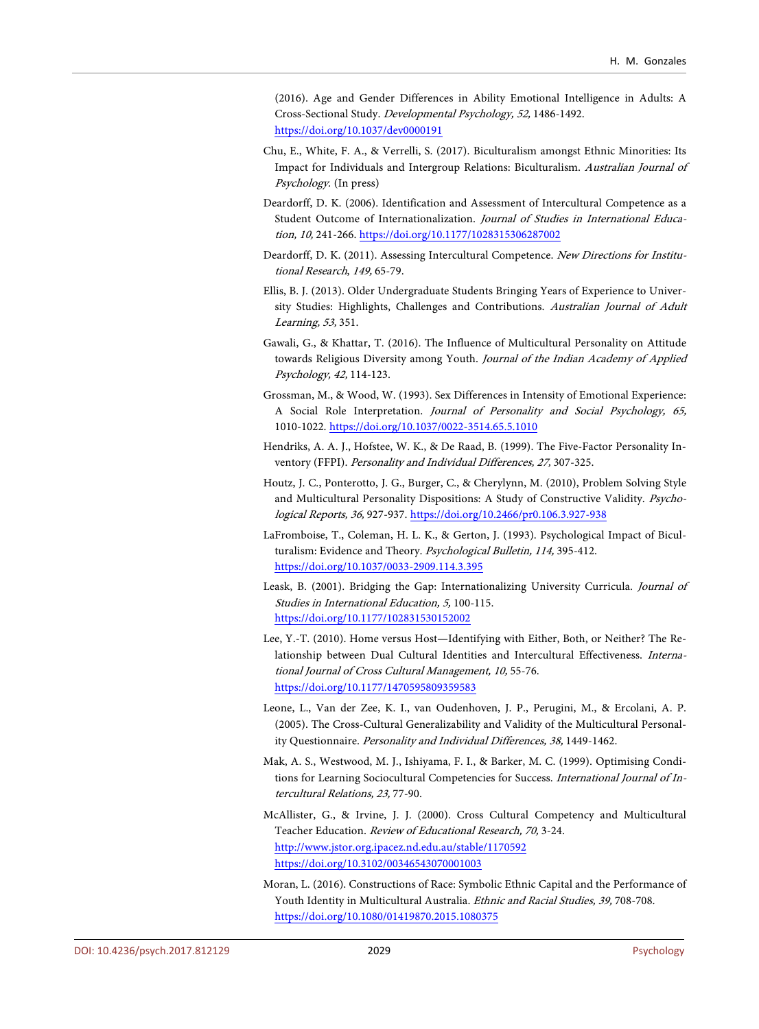(2016). Age and Gender Differences in Ability Emotional Intelligence in Adults: A Cross-Sectional Study. Developmental Psychology, 52, 1486-1492. <https://doi.org/10.1037/dev0000191>

- <span id="page-14-3"></span>Chu, E., White, F. A., & Verrelli, S. (2017). Biculturalism amongst Ethnic Minorities: Its Impact for Individuals and Intergroup Relations: Biculturalism. Australian Journal of Psychology. (In press)
- <span id="page-14-0"></span>Deardorff, D. K. (2006). Identification and Assessment of Intercultural Competence as a Student Outcome of Internationalization. Journal of Studies in International Education, 10, 241-266.<https://doi.org/10.1177/1028315306287002>
- <span id="page-14-1"></span>Deardorff, D. K. (2011). Assessing Intercultural Competence. New Directions for Institutional Research, 149, 65-79.
- <span id="page-14-10"></span>Ellis, B. J. (2013). Older Undergraduate Students Bringing Years of Experience to University Studies: Highlights, Challenges and Contributions. Australian Journal of Adult Learning, 53, 351.
- <span id="page-14-12"></span>Gawali, G., & Khattar, T. (2016). The Influence of Multicultural Personality on Attitude towards Religious Diversity among Youth. Journal of the Indian Academy of Applied Psychology, 42, 114-123.
- <span id="page-14-9"></span>Grossman, M., & Wood, W. (1993). Sex Differences in Intensity of Emotional Experience: A Social Role Interpretation. Journal of Personality and Social Psychology, 65, 1010-1022. <https://doi.org/10.1037/0022-3514.65.5.1010>
- <span id="page-14-7"></span>Hendriks, A. A. J., Hofstee, W. K., & De Raad, B. (1999). The Five-Factor Personality Inventory (FFPI). Personality and Individual Differences, 27, 307-325.
- <span id="page-14-8"></span>Houtz, J. C., Ponterotto, J. G., Burger, C., & Cherylynn, M. (2010), Problem Solving Style and Multicultural Personality Dispositions: A Study of Constructive Validity. Psychological Reports, 36, 927-937. <https://doi.org/10.2466/pr0.106.3.927-938>
- <span id="page-14-4"></span>LaFromboise, T., Coleman, H. L. K., & Gerton, J. (1993). Psychological Impact of Biculturalism: Evidence and Theory. Psychological Bulletin, 114, 395-412. <https://doi.org/10.1037/0033-2909.114.3.395>
- <span id="page-14-14"></span>Leask, B. (2001). Bridging the Gap: Internationalizing University Curricula. Journal of Studies in International Education, 5, 100-115. <https://doi.org/10.1177/102831530152002>
- <span id="page-14-2"></span>Lee, Y.-T. (2010). Home versus Host—Identifying with Either, Both, or Neither? The Relationship between Dual Cultural Identities and Intercultural Effectiveness. International Journal of Cross Cultural Management, 10, 55-76. <https://doi.org/10.1177/1470595809359583>
- <span id="page-14-6"></span>Leone, L., Van der Zee, K. I., van Oudenhoven, J. P., Perugini, M., & Ercolani, A. P. (2005). The Cross-Cultural Generalizability and Validity of the Multicultural Personality Questionnaire. Personality and Individual Differences, 38, 1449-1462.
- <span id="page-14-13"></span>Mak, A. S., Westwood, M. J., Ishiyama, F. I., & Barker, M. C. (1999). Optimising Conditions for Learning Sociocultural Competencies for Success. International Journal of Intercultural Relations, 23, 77-90.
- <span id="page-14-5"></span>McAllister, G., & Irvine, J. J. (2000). Cross Cultural Competency and Multicultural Teacher Education. Review of Educational Research, 70, 3-24. <http://www.jstor.org.ipacez.nd.edu.au/stable/1170592> <https://doi.org/10.3102/00346543070001003>
- <span id="page-14-11"></span>Moran, L. (2016). Constructions of Race: Symbolic Ethnic Capital and the Performance of Youth Identity in Multicultural Australia. Ethnic and Racial Studies, 39, 708-708. <https://doi.org/10.1080/01419870.2015.1080375>